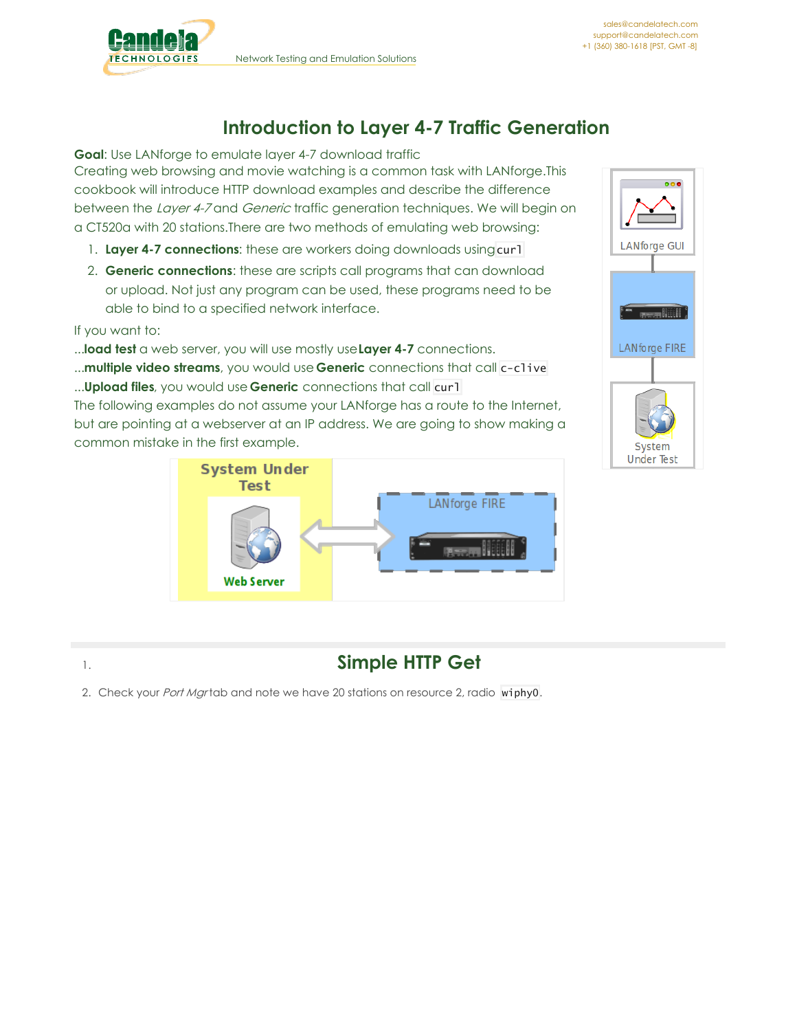

## **Introduction to Layer 4-7 Traffic Generation**

**Goal**: Use LANforge to emulate layer 4-7 download traffic

Creating web browsing and movie watching is a common task with LANforge.This cookbook will introduce HTTP download examples and describe the difference between the Layer 4-7 and Generic traffic generation techniques. We will begin on a CT520a with 20 stations.There are two methods of emulating web browsing:

- 1. Layer 4-7 connections: these are workers doing downloads using curl
- 2. **Generic connections**: these are scripts call programs that can download or upload. Not just any program can be used, these programs need to be able to bind to a specified network interface.

If you want to:

...**load test** a web server, you will use mostly use**Layer 4-7** connections.

...**multiple video streams**, you would use **Generic** connections that call c-clive ...**Upload files**, you would use **Generic** connections that call curl

The following examples do not assume your LANforge has a route to the Internet, but are pointing at a webserver at an IP address. We are going to show making a common mistake in the first example.





## 1. **Simple HTTP Get**

2. Check your *Port Mgr* tab and note we have 20 stations on resource 2, radio wiphy0.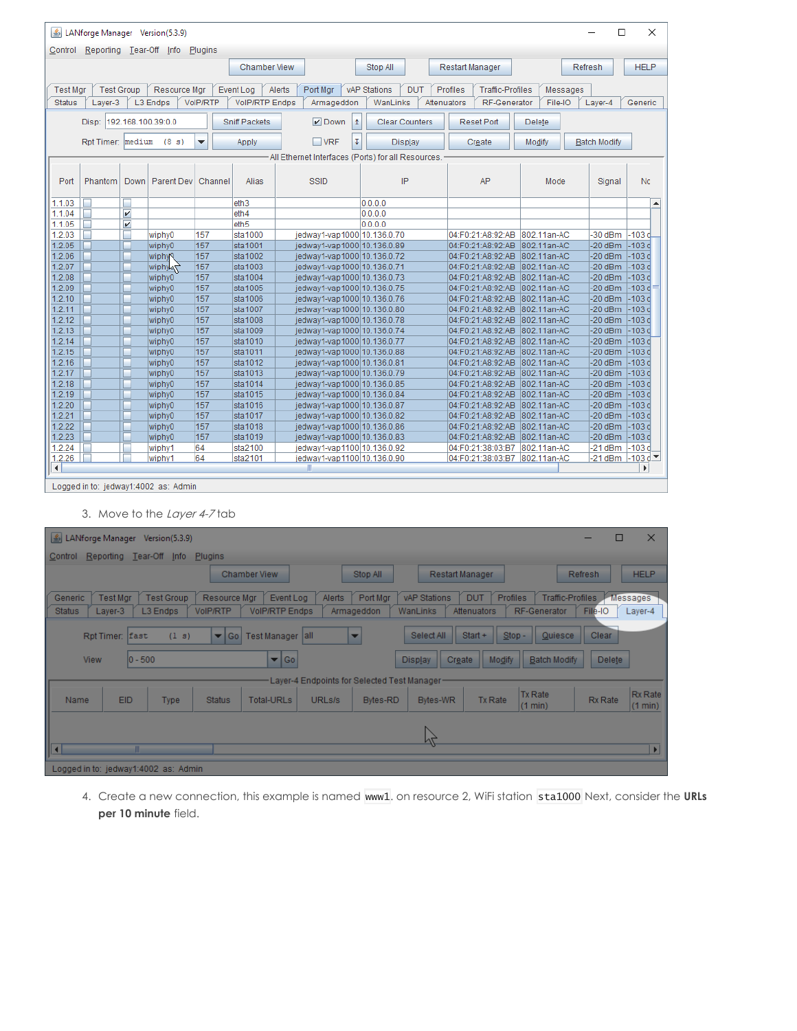| ▲                                                                                                                   |                         |                         | LANforge Manager Version(5.3.9)      |          |                       |                     |                                                     |     |                     |                       |             |                 |                               |             |          | $\Box$              |             | × |
|---------------------------------------------------------------------------------------------------------------------|-------------------------|-------------------------|--------------------------------------|----------|-----------------------|---------------------|-----------------------------------------------------|-----|---------------------|-----------------------|-------------|-----------------|-------------------------------|-------------|----------|---------------------|-------------|---|
| Control                                                                                                             | Reporting Tear-Off Info |                         |                                      | Plugins  |                       |                     |                                                     |     |                     |                       |             |                 |                               |             |          |                     |             |   |
|                                                                                                                     |                         |                         |                                      |          |                       | <b>Chamber View</b> |                                                     |     | Stop All            |                       |             | Restart Manager |                               |             |          | Refresh             | <b>HELP</b> |   |
| <b>Test Mgr</b>                                                                                                     | <b>Test Group</b>       |                         | Resource Mgr                         |          | Event Log             | Alerts              | Port Mgr                                            |     | <b>vAP Stations</b> | <b>DUT</b>            |             | Profiles        | <b>Traffic-Profiles</b>       |             | Messages |                     |             |   |
| <b>Status</b>                                                                                                       | Layer-3                 |                         | L3 Endps                             | VoIP/RTP | <b>VolP/RTP Endps</b> |                     | Armageddon                                          |     | WanLinks            |                       | Attenuators |                 | RF-Generator                  |             | File-IO  | Layer-4             | Generic     |   |
|                                                                                                                     |                         |                         |                                      |          |                       |                     |                                                     |     |                     |                       |             |                 |                               |             |          |                     |             |   |
|                                                                                                                     | Disp:                   |                         | 192.168.100.39:0.0                   |          | <b>Sniff Packets</b>  |                     | $V$ Down                                            | l 1 |                     | <b>Clear Counters</b> |             |                 | <b>Reset Port</b>             | Delete      |          |                     |             |   |
|                                                                                                                     | Rpt Timer: medium       |                         | (8 s)                                | ۰        | Apply                 |                     | $\Box$ VRF                                          | Ţ   |                     | Display               |             |                 | Create                        | Modify      |          | <b>Batch Modify</b> |             |   |
|                                                                                                                     |                         |                         |                                      |          |                       |                     |                                                     |     |                     |                       |             |                 |                               |             |          |                     |             |   |
|                                                                                                                     |                         |                         |                                      |          |                       |                     | -All Ethernet Interfaces (Ports) for all Resources. |     |                     |                       |             |                 |                               |             |          |                     |             |   |
| IP<br>AP<br>No<br>Phantom<br><b>Down</b><br>Parent Dev<br>Alias<br><b>SSID</b><br>Mode<br>Port<br>Channel<br>Signal |                         |                         |                                      |          |                       |                     |                                                     |     |                     |                       |             |                 |                               |             |          |                     |             |   |
| п<br>0.0.0.0<br>1.1.03<br>eth <sub>3</sub><br>$\blacktriangle$<br>$\overline{\mathbf{v}}$<br>0.0.0.0<br>г           |                         |                         |                                      |          |                       |                     |                                                     |     |                     |                       |             |                 |                               |             |          |                     |             |   |
| 1.1.04                                                                                                              |                         |                         |                                      |          | eth4                  |                     |                                                     |     |                     |                       |             |                 |                               |             |          |                     |             |   |
| 1.1.05                                                                                                              | г                       | $\overline{\mathbf{v}}$ |                                      |          | eth5                  |                     |                                                     |     | 0.0.0.0             |                       |             |                 |                               |             |          |                     |             |   |
| 1.2.03                                                                                                              | г                       | ۰                       | wiphy0                               | 157      | sta1000               |                     | jedway1-vap1000 10.136.0.70                         |     |                     |                       |             |                 | 04:F0:21:A8:92:AB             | 802.11an-AC |          | $-30$ dBm           | $-103c$     |   |
| 1.2.05                                                                                                              |                         |                         | wiphy0                               | 157      | sta1001               |                     | jedway1-vap1000 10.136.0.89                         |     |                     |                       |             |                 | 04:F0:21:A8:92:AB             | 802.11an-AC |          | $-20$ dBm           | $-103d$     |   |
| 1.2.06                                                                                                              | ۰                       | ш                       | wiphyQ                               | 157      | sta1002               |                     | jedway1-vap1000 10.136.0.72                         |     |                     |                       |             |                 | 04:F0:21:A8:92:AB             | 802.11an-AC |          | $-20$ dBm           | $-103c$     |   |
| 1.2.07                                                                                                              |                         |                         | wiphy                                | 157      | sta1003               |                     | jedway1-vap1000 10.136.0.71                         |     |                     |                       |             |                 | 04:F0:21:A8:92:AB             | 802.11an-AC |          | $-20$ dBm           | $-103c$     |   |
| 1.2.08                                                                                                              | r.                      | ш                       | wiphy0                               | 157      | sta1004               |                     | jedway1-vap1000 10.136.0.73                         |     |                     |                       |             |                 | 04:F0:21:A8:92:AB             | 802.11an-AC |          | $-20$ dBm           | $-103c$     |   |
| 1.2.09                                                                                                              |                         | г                       | wiphy0                               | 157      | sta1005               |                     | jedway1-vap1000 10.136.0.75                         |     |                     |                       |             |                 | 04:F0:21:A8:92:AB             | 802.11an-AC |          | $-20$ dBm           | $-103c$     |   |
| 1.2.10                                                                                                              |                         |                         | wiphy0                               | 157      | sta1006               |                     | jedway1-vap1000 10.136.0.76                         |     |                     |                       |             |                 | 04:F0:21:A8:92:AB             | 802.11an-AC |          | $-20$ dBm           | $-103c$     |   |
| 1.2.11                                                                                                              | ⊏                       | п                       | wiphy0                               | 157      | sta1007               |                     | jedway1-vap1000 10.136.0.80                         |     |                     |                       |             |                 | 04:F0:21:A8:92:AB             | 802.11an-AC |          | $-20$ dBm           | $-103d$     |   |
| 1.2.12                                                                                                              |                         |                         | wiphy0                               | 157      | sta1008               |                     | jedway1-vap1000 10.136.0.78                         |     |                     |                       |             |                 | 04:F0:21:A8:92:AB             | 802.11an-AC |          | $-20$ dBm           | $-103d$     |   |
| 1.2.13                                                                                                              |                         |                         | wiphy0                               | 157      | sta1009               |                     | jedway1-vap1000 10.136.0.74                         |     |                     |                       |             |                 | 04:F0:21:A8:92:AB             | 802.11an-AC |          | $-20$ dBm           | $-103d$     |   |
| 1.2.14                                                                                                              | E.                      | п                       | wiphy0                               | 157      | sta1010               |                     | jedway1-vap1000 10.136.0.77                         |     |                     |                       |             |                 | 04:F0:21:A8:92:AB             | 802.11an-AC |          | $-20$ dBm           | $-103d$     |   |
| 1.2.15                                                                                                              |                         |                         | wiphy0                               | 157      | sta1011               |                     | jedway1-vap1000 10.136.0.88                         |     |                     |                       |             |                 | 04:F0:21:A8:92:AB             | 802.11an-AC |          | $-20$ dBm           | $-103c$     |   |
| 1.2.16                                                                                                              |                         |                         | wiphy0                               | 157      | sta1012               |                     | jedway1-vap1000 10.136.0.81                         |     |                     |                       |             |                 | 04:F0:21:A8:92:AB             | 802.11an-AC |          | $-20$ dBm           | $-103c$     |   |
| 1.2.17                                                                                                              |                         | ш                       | wiphy0                               | 157      | sta1013               |                     | jedway1-vap1000 10.136.0.79                         |     |                     |                       |             |                 | 04:F0:21:A8:92:AB             | 802.11an-AC |          | $-20$ dBm           | $-103c$     |   |
| 1.2.18                                                                                                              |                         |                         | wiphy0                               | 157      | sta1014               |                     | jedway1-vap1000 10.136.0.85                         |     |                     |                       |             |                 | 04:F0:21:A8:92:AB             | 802.11an-AC |          | $-20$ dBm           | $-103d$     |   |
| 1.2.19                                                                                                              | ÷                       |                         | wiphy0                               | 157      | sta1015               |                     | iedway1-vap1000 10.136.0.84                         |     |                     |                       |             |                 | 04:F0:21:A8:92:AB             | 802.11an-AC |          | $-20$ dBm           | $-103c$     |   |
| 1.2.20                                                                                                              | г                       |                         | wiphy0                               | 157      | sta1016               |                     | jedway1-vap1000 10.136.0.87                         |     |                     |                       |             |                 | 04:F0:21:A8:92:AB             | 802.11an-AC |          | $-20$ dBm           | $-103c$     |   |
| 1.2.21                                                                                                              |                         |                         | wiphy0                               | 157      | sta1017               |                     | jedway1-vap1000 10.136.0.82                         |     |                     |                       |             |                 | 04:F0:21:A8:92:AB             | 802.11an-AC |          | $-20$ dBm           | $-103c$     |   |
| 1.2.22                                                                                                              |                         | ш                       | wiphy0                               | 157      | sta1018               |                     | jedway1-vap1000 10.136.0.86                         |     |                     |                       |             |                 | 04:F0:21:A8:92:AB             | 802.11an-AC |          | $-20$ dBm           | $-103c$     |   |
| 1.2.23                                                                                                              |                         |                         | wiphy0                               | 157      | sta1019               |                     | jedway1-vap1000 10.136.0.83                         |     |                     |                       |             |                 | 04:F0:21:A8:92:AB             | 802.11an-AC |          | $-20$ dBm           | $-103c$     |   |
| 1.2.24                                                                                                              |                         |                         | wiphy1                               | 64       | sta2100               |                     | jedway1-vap1100 10.136.0.92                         |     |                     |                       |             |                 | 04:F0:21:38:03:B7             | 802.11an-AC |          | $-21$ dBm           | $-103c$     |   |
| 1.2.26                                                                                                              |                         |                         | wiphy1                               | 64       | sta2101               |                     | jedway1-vap1100 10.136.0.90                         |     |                     |                       |             |                 | 04:F0:21:38:03:B7 802.11an-AC |             |          | $-21$ dBm $-103$ d  |             |   |
| $\blacktriangleleft$                                                                                                |                         |                         |                                      |          |                       |                     | $\mathbb{I}$                                        |     |                     |                       |             |                 |                               |             |          |                     | Þ.          |   |
|                                                                                                                     |                         |                         | Logged in to: jedway1:4002 as: Admin |          |                       |                     |                                                     |     |                     |                       |             |                 |                               |             |          |                     |             |   |

- Logged in to: jedway1:4002 as: Admin
	- 3. Move to the Layer 4-7 tab

| LANforge Manager Version(5.3.9)      |                 |                                 |                         |                         |               |            |                                             |                        |                                     | ш       | $\times$           |
|--------------------------------------|-----------------|---------------------------------|-------------------------|-------------------------|---------------|------------|---------------------------------------------|------------------------|-------------------------------------|---------|--------------------|
| Control                              |                 | Reporting Tear-Off Info Plugins |                         |                         |               |            |                                             |                        |                                     |         |                    |
|                                      |                 |                                 |                         | <b>Chamber View</b>     |               | Stop All   |                                             | <b>Restart Manager</b> |                                     | Refresh | <b>HELP</b>        |
| Generic                              | <b>Test Mgr</b> | <b>Test Group</b>               | Resource Mgr            | Event Log               | <b>Alerts</b> | Port Mgr   | <b>vAP Stations</b>                         | <b>DUT</b>             | Profiles<br><b>Traffic-Profiles</b> |         | Messages           |
| <b>Status</b>                        | Layer-3         | L3 Endps                        | VoIP/RTP                | <b>VolP/RTP Endps</b>   |               | Armageddon | WanLinks                                    | Attenuators            | RF-Generator                        | File-IO | Layer-4            |
|                                      | Rpt Timer: East | (1 s)                           | $\blacktriangledown$ Go | Test Manager all        |               | ▼          | Select All                                  | $Start +$              | $Stop -$<br>Quiesce                 | Clear   |                    |
| <b>View</b>                          |                 | $ 0 - 500 $                     |                         | $\blacktriangledown$ Go |               |            | <b>Display</b>                              | Create                 | Modify<br><b>Batch Modify</b>       | Delete  |                    |
|                                      |                 |                                 |                         |                         |               |            | Layer-4 Endpoints for Selected Test Manager |                        |                                     |         |                    |
| Name                                 | <b>EID</b>      | <b>Type</b>                     | <b>Status</b>           | <b>Total-URLs</b>       | URLs/s        | Bytes-RD   | Bytes-WR                                    | <b>Tx Rate</b>         | <b>Tx Rate</b><br>(1 min)           | Rx Rate | Rx Rate<br>(1 min) |
|                                      |                 |                                 |                         |                         |               |            |                                             |                        |                                     |         |                    |
| $\overline{\mathbf{a}}$              |                 |                                 |                         |                         |               |            | Ņζ                                          |                        |                                     |         | E                  |
| Logged in to: jedway1:4002 as: Admin |                 |                                 |                         |                         |               |            |                                             |                        |                                     |         |                    |

4. Create a new connection, this example is named www1. on resource 2, WiFi station sta1000 Next, consider the **URLs per 10 minute** field.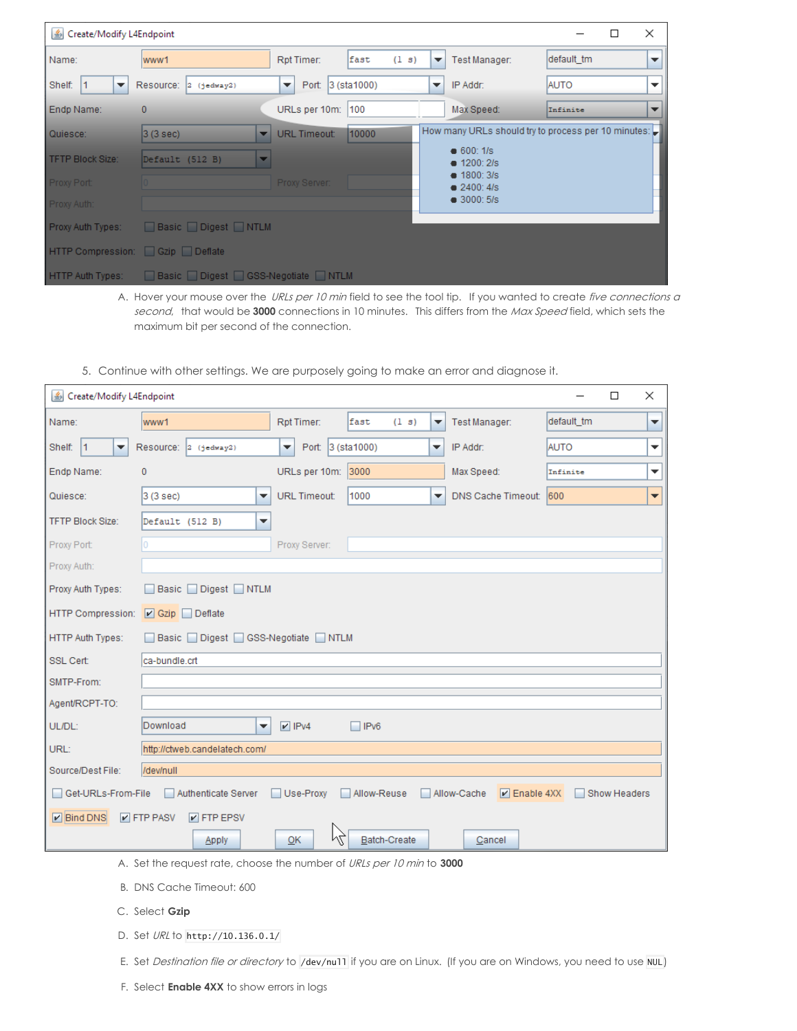| <u>S</u> Create/Modify L4Endpoint |                                 |                                               |               |                         |                                                     |             | □ | $\times$                 |
|-----------------------------------|---------------------------------|-----------------------------------------------|---------------|-------------------------|-----------------------------------------------------|-------------|---|--------------------------|
| Name:                             | www1                            | Rpt Timer:                                    | fast<br>(1 s) | ▼                       | Test Manager:                                       | default tm  |   | $\overline{\phantom{a}}$ |
| Shelf:<br>$\mathsf{I}$<br>▼       | Resource:<br>$2$ (jedway2)      | Port: 3 (sta1000)<br>$\overline{\phantom{a}}$ |               | $\overline{\mathbf{v}}$ | IP Addr:                                            | <b>AUTO</b> |   | $\overline{\phantom{a}}$ |
| Endp Name:                        | 0                               | URLs per 10m:                                 | 100           |                         | Max Speed:                                          | Infinite    |   | $\overline{\phantom{a}}$ |
| Quiesce:                          | 3(3 sec)<br>▼                   | <b>URL Timeout:</b>                           | 10000         |                         | How many URLs should try to process per 10 minutes: |             |   |                          |
| TFTP Block Size:                  | Default (512 B)                 |                                               |               |                         | $\bullet$ 600: 1/s<br>$\bullet$ 1200: 2/s           |             |   |                          |
| Proxy Port:                       |                                 | <b>Proxy Server:</b>                          |               |                         | $\bullet$ 1800: 3/s<br>2400:4/s                     |             |   |                          |
| Proxy Auth:                       |                                 |                                               |               |                         | $\bullet$ 3000: 5/s                                 |             |   |                          |
| Proxy Auth Types:                 | Basic Digest NTLM               |                                               |               |                         |                                                     |             |   |                          |
| HTTP Compression: Gzip Deflate    |                                 |                                               |               |                         |                                                     |             |   |                          |
| <b>HTTP Auth Types:</b>           | Basic Digest GSS-Negotiate NTLM |                                               |               |                         |                                                     |             |   |                          |

A. Hover your mouse over the URLs per 10 min field to see the tool tip. If you wanted to create five connections a second, that would be 3000 connections in 10 minutes. This differs from the Max Speed field, which sets the maximum bit per second of the connection.

5. Continue with other settings. We are purposely going to make an error and diagnose it.

| <u>S</u> Create/Modify L4Endpoint |                                                             |                        |                     |   |                                            |             | $\Box$       | × |
|-----------------------------------|-------------------------------------------------------------|------------------------|---------------------|---|--------------------------------------------|-------------|--------------|---|
| Name:                             | www1                                                        | Rpt Timer:             | fast<br>(1 s)       | ▼ | Test Manager:                              | default tm  |              | ▼ |
| $\vert$ 1<br>Shelf:<br>▼          | Resource: 2 (jedway2)                                       | Port: 3 (sta1000)<br>▼ |                     | ▼ | IP Addr:                                   | <b>AUTO</b> |              | ▼ |
| Endp Name:                        | 0                                                           | URLs per 10m:          | 3000                |   | Max Speed:                                 | Infinite    |              | ▼ |
| Quiesce:                          | 3 (3 sec)<br>▼                                              | <b>URL Timeout:</b>    | 1000                | ▼ | DNS Cache Timeout:                         | 600         |              | ▼ |
| <b>TFTP Block Size:</b>           | Default (512 B)<br>▼                                        |                        |                     |   |                                            |             |              |   |
| Proxy Port:                       | 0                                                           | Proxy Server:          |                     |   |                                            |             |              |   |
| Proxy Auth:                       |                                                             |                        |                     |   |                                            |             |              |   |
| Proxy Auth Types:                 | $Diqest$ NTLM<br><b>Basic</b>                               |                        |                     |   |                                            |             |              |   |
| HTTP Compression:                 | $\boxed{\triangleright}$ Gzip $\boxed{\phantom{0}}$ Deflate |                        |                     |   |                                            |             |              |   |
| <b>HTTP Auth Types:</b>           | Basic Digest GSS-Negotiate NTLM                             |                        |                     |   |                                            |             |              |   |
| SSL Cert:                         | ca-bundle.crt                                               |                        |                     |   |                                            |             |              |   |
| SMTP-From:                        |                                                             |                        |                     |   |                                            |             |              |   |
| Agent/RCPT-TO:                    |                                                             |                        |                     |   |                                            |             |              |   |
| UL/DL:                            | Download<br>▼                                               | $V$ IPv4               | $\Box$ IPv6         |   |                                            |             |              |   |
| URL:                              | http://ctweb.candelatech.com/                               |                        |                     |   |                                            |             |              |   |
| Source/Dest File:                 | /dev/null                                                   |                        |                     |   |                                            |             |              |   |
| Get-URLs-From-File                | Authenticate Server                                         | Use-Proxy              | Allow-Reuse         |   | $\triangleright$ Enable 4XX<br>Allow-Cache |             | Show Headers |   |
| $\boxed{\triangleright}$ Bind DNS | $V$ FTP PASV<br>$V$ FTP EPSV                                |                        |                     |   |                                            |             |              |   |
|                                   | Apply                                                       | M<br>OK                | <b>Batch-Create</b> |   | Cancel                                     |             |              |   |

A. Set the request rate, choose the number of URLs per 10 min to **3000**

- B. DNS Cache Timeout: 600
- C. Select **Gzip**
- D. Set URL to http://10.136.0.1/

E. Set Destination file or directory to /dev/nu11 if you are on Linux. (If you are on Windows, you need to use NUL)

F. Select **Enable 4XX** to show errors in logs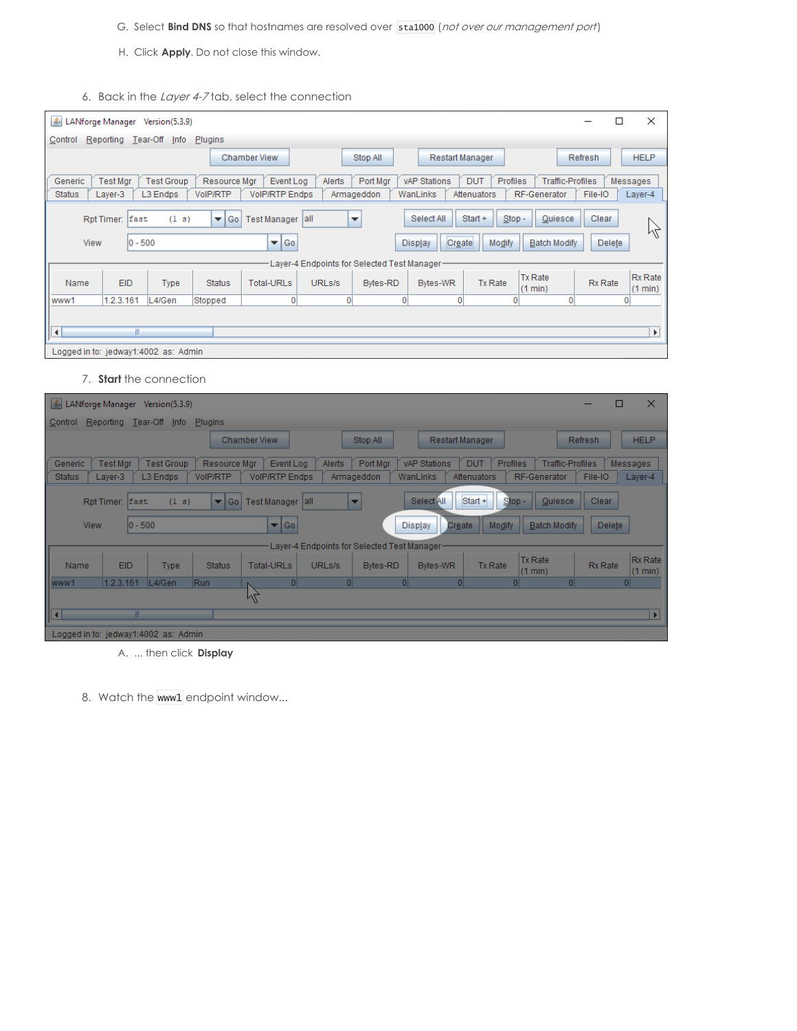- G. Select **Bind DNS** so that hostnames are resolved over sta1000 (not over our management port)
- H. Click **Apply**. Do not close this window.
- 6. Back in the Layer 4-7 tab, select the connection

| $ \mathcal{L} $                      | LANforge Manager               | Version(5.3.9)                |                            |                                               |        |                                             |                                        |                                              |                                         |                 | □ | ×                   |
|--------------------------------------|--------------------------------|-------------------------------|----------------------------|-----------------------------------------------|--------|---------------------------------------------|----------------------------------------|----------------------------------------------|-----------------------------------------|-----------------|---|---------------------|
| Control                              | Reporting Tear-Off             | Info                          | Plugins                    |                                               |        |                                             |                                        |                                              |                                         |                 |   |                     |
|                                      |                                |                               |                            | <b>Chamber View</b>                           |        | Stop All                                    | Restart Manager                        |                                              |                                         | Refresh         |   | <b>HELP</b>         |
| Generic<br><b>Status</b>             | <b>Test Mgr</b><br>Layer-3     | <b>Test Group</b><br>L3 Endps | Resource Mgr<br>VoIP/RTP   | Event Log<br><b>VoIP/RTP Endps</b>            | Alerts | Port Mgr<br>Armageddon                      | vAP Stations<br>WanLinks               | <b>DUT</b><br><b>Profiles</b><br>Attenuators | <b>Traffic-Profiles</b><br>RF-Generator | File-IO         |   | Messages<br>Layer-4 |
| View                                 | Rpt Timer: East<br>$ 0 - 500 $ | (1 s)                         | Go<br>$\blacktriangledown$ | Test Manager   all<br>$\blacktriangledown$ Go |        | $\overline{\phantom{a}}$                    | Select All<br>Create<br><b>Display</b> | Start +<br>$Stop -$<br>Modify                | Quiesce<br><b>Batch Modify</b>          | Clear<br>Delete |   | M                   |
|                                      |                                |                               |                            |                                               |        | Layer-4 Endpoints for Selected Test Manager |                                        |                                              |                                         |                 |   |                     |
| Name                                 | <b>EID</b>                     | <b>Type</b>                   | <b>Status</b>              | <b>Total-URLs</b>                             | URLs/s | Bytes-RD                                    | <b>Bytes-WR</b>                        | <b>Tx Rate</b>                               | <b>Tx Rate</b><br>(1 min)               | <b>Rx Rate</b>  |   | Rx Rate<br>(1 min)  |
| www1                                 | 1.2.3.161                      | L4/Gen                        | Stopped                    | $\overline{0}$                                | 0      | o                                           | $\Omega$                               | $\Omega$                                     | $\Omega$                                |                 |   |                     |
| $\blacktriangleleft$                 | Ш                              |                               |                            |                                               |        |                                             |                                        |                                              |                                         |                 |   | Þ                   |
| Logged in to: jedway1:4002 as: Admin |                                |                               |                            |                                               |        |                                             |                                        |                                              |                                         |                 |   |                     |

7. **Start** the connection

| LANforge Manager Version(5.3.9)      |                 |                                 |                         |                                    |                                              |                |                                   |                                             |                         | $\times$<br>ш      |              |
|--------------------------------------|-----------------|---------------------------------|-------------------------|------------------------------------|----------------------------------------------|----------------|-----------------------------------|---------------------------------------------|-------------------------|--------------------|--------------|
| Control                              |                 | Reporting Tear-Off Info Plugins |                         |                                    |                                              |                |                                   |                                             |                         |                    |              |
|                                      |                 |                                 |                         | <b>Chamber View</b>                | Stop All                                     |                | Restart Manager                   |                                             | Refresh                 | <b>HELP</b>        |              |
| Generic                              | <b>Test Mgr</b> | <b>Test Group</b>               | Resource Mgr            | Event Log<br><b>VolP/RTP Endps</b> | <b>Alerts</b>                                | Port Mgr       | <b>vAP Stations</b><br><b>DUT</b> | <b>Profiles</b><br>RF-Generator             | <b>Traffic-Profiles</b> | <b>Messages</b>    |              |
| <b>Status</b>                        | Layer-3         | L3 Endps                        | VoIP/RTP                |                                    | Armageddon                                   | WanLinks       | Attenuators                       |                                             | File-IO                 | Layer-4            |              |
|                                      | Rpt Timer: East | (1 s)                           | $\blacktriangledown$ Go | Test Manager all                   | $\overline{\phantom{a}}$                     |                | Start +<br>Select All             | Quiesce<br>Stop-                            | Clear                   |                    |              |
| <b>View</b>                          | $0 - 500$       |                                 |                         | $\blacktriangledown$ Go            |                                              | <b>Display</b> | Create                            | Modify<br><b>Batch Modify</b>               | Delete                  |                    |              |
|                                      |                 |                                 |                         |                                    | Layer-4 Endpoints for Selected Test Manager- |                |                                   |                                             |                         |                    |              |
| Name                                 | <b>EID</b>      | <b>Type</b>                     | <b>Status</b>           | <b>Total-URLs</b>                  | URLs/s                                       | Bytes-RD       | Bytes-WR                          | <b>Tx Rate</b><br><b>Tx Rate</b><br>(1 min) | Rx Rate                 | Rx Rate<br>(1 min) |              |
| www1                                 | 1.2.3.161       | L4/Gen                          | Run                     | $\Omega$                           | $\Omega$                                     | -O.            | $\Omega$                          | $\overline{0}$                              | n                       | ΩI                 |              |
|                                      |                 |                                 |                         | M                                  |                                              |                |                                   |                                             |                         |                    |              |
| la                                   | m.              |                                 |                         |                                    |                                              |                |                                   |                                             |                         |                    | $\mathbf{F}$ |
| Logged in to: jedway1:4002 as: Admin |                 |                                 |                         |                                    |                                              |                |                                   |                                             |                         |                    |              |

- A. ... then click **Display**
- 8. Watch the www1 endpoint window...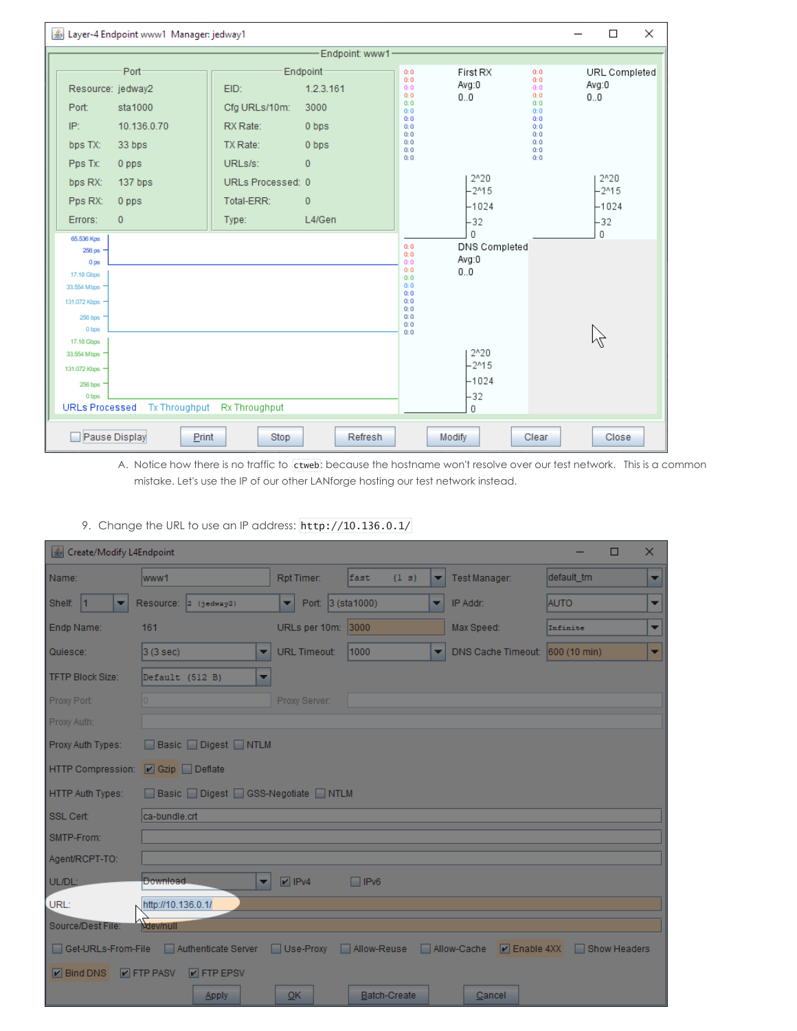| Layer-4 Endpoint www1 Manager: jedway1 |                             |                 |                   |                        | $\times$<br>$\Box$ |                          |
|----------------------------------------|-----------------------------|-----------------|-------------------|------------------------|--------------------|--------------------------|
|                                        |                             | Endpoint: www1- |                   |                        |                    |                          |
| Port                                   | Endpoint-                   |                 | 0:0<br>0:0        | First RX               | 0:0<br>0:0         | URL Completed            |
| Resource: jedway2                      | EID:                        | 1.2.3.161       | 0:0<br>0:0        | Avg:0<br>0.0           | 0:0<br>0:0         | Avg:0<br>0.0             |
| sta1000<br>Port:                       | Cfg URLs/10m:<br>3000       |                 | Q:Q<br>0:0        |                        | 0:0<br>0:0         |                          |
| IP:<br>10.136.0.70                     | RX Rate:<br>0 bps           |                 | 0:0<br>0:0<br>0:0 |                        | 0:0<br>0:0<br>0:0  |                          |
| bps TX:<br>33 bps                      | TX Rate:<br>0 bps           |                 | Q:Q<br>0:0        |                        | 0:0<br>0:0         |                          |
| Pps Tx:<br>0 pps                       | URLs/s:<br>$\Omega$         |                 | 0:0               |                        | 0:0                |                          |
| bps RX:<br>137 bps                     | URLs Processed: 0           |                 |                   | $2^{A}20$<br>$-215$    |                    | $2^{\wedge}20$<br>$-215$ |
| Pps RX:<br>0 pps                       | Total-ERR:<br>$\mathbf{0}$  |                 |                   | -1024                  |                    | $-1024$                  |
| $\overline{0}$<br>Errors:              | Type:                       | L4/Gen          |                   | $-32$                  |                    | -32                      |
| 65.536 Kps                             |                             |                 |                   | $\Omega$               |                    | 0                        |
| 256 <sub>ps</sub><br>0 <sub>ps</sub>   |                             |                 | 0:0<br>0:0<br>0:0 | DNS Completed<br>Avg:0 |                    |                          |
| 17.18 Gbps                             |                             |                 | 0:0<br>0:0        | 0.0                    |                    |                          |
| 33.554 Mbps                            |                             |                 | 0:0<br>0:0        |                        |                    |                          |
| 131.072 Kbps                           |                             |                 | 0:0<br>0:0        |                        |                    |                          |
| 256 bps                                |                             |                 | 0:0<br>Q:Q        |                        |                    |                          |
| 0 bos                                  |                             |                 | Q:Q               |                        |                    |                          |
| 17.18 Gbps<br>33.554 Mbps              |                             |                 |                   | $2^{n}20$              |                    |                          |
| 131.072 Kbps                           |                             |                 |                   | $-215$                 |                    |                          |
| 256 bps                                |                             |                 |                   | -1024                  |                    |                          |
| 0 bps                                  |                             |                 |                   | $-32$                  |                    |                          |
| <b>URLs Processed</b>                  | Tx Throughput Rx Throughput |                 |                   | 0                      |                    |                          |
| Pause Display<br>Print                 | <b>Stop</b>                 |                 | Modify            | Clear                  | Close              |                          |

A. Notice how there is no traffic to ctweb: because the hostname won't resolve over our test network. This is a common mistake. Let's use the IP of our other LANforge hosting our test network instead.

| △ Create/Modify L4Endpoint |                                                                                 |                        |               |   |                                 | $\Box$      | $\times$ |
|----------------------------|---------------------------------------------------------------------------------|------------------------|---------------|---|---------------------------------|-------------|----------|
| Name:                      | www1                                                                            | Rpt Timer:             | fast<br>(1 s) | ▼ | Test Manager:                   | default tm  | ▼        |
| Shelf: 1<br>▼              | Resource:  2 (jedway2)                                                          | Port: 3 (sta1000)<br>▼ |               |   | IP Addr:                        | <b>AUTO</b> | ▼        |
| Endp Name:                 | 161                                                                             | URLs per 10m: 3000     |               |   | Max Speed:                      | Infinite    | ٠        |
| Quiesce:                   | 3(3 sec)<br>▼                                                                   | <b>URL Timeout:</b>    | 1000          | ▼ | DNS Cache Timeout: 600 (10 min) |             | ▼        |
| <b>TFTP Block Size:</b>    | Default (512 B)<br>▼                                                            |                        |               |   |                                 |             |          |
| Proxy Port:                |                                                                                 | Proxy Server:          |               |   |                                 |             |          |
| Proxy Auth:                |                                                                                 |                        |               |   |                                 |             |          |
| Proxy Auth Types:          | Basic Digest NTLM                                                               |                        |               |   |                                 |             |          |
| HTTP Compression:          | ■ Gzip Deflate                                                                  |                        |               |   |                                 |             |          |
| HTTP Auth Types:           | Basic Digest GSS-Negotiate NTLM                                                 |                        |               |   |                                 |             |          |
| <b>SSL Cert</b>            | ca-bundle.crt                                                                   |                        |               |   |                                 |             |          |
| SMTP-From:                 |                                                                                 |                        |               |   |                                 |             |          |
| Agent/RCPT-TO:             |                                                                                 |                        |               |   |                                 |             |          |
| UL/DL:                     | Download.<br>▼                                                                  | $V$ IPv4               | $\Box$ IPv6   |   |                                 |             |          |
| URL:                       | http://10.136.0.1/                                                              |                        |               |   |                                 |             |          |
| Source/Dest File:          | dev/null                                                                        |                        |               |   |                                 |             |          |
| Get-URLs-From-File         | Authenticate Server Use-Proxy Allow-Reuse Allow-Cache V Enable 4XX Show Headers |                        |               |   |                                 |             |          |
| $\triangleright$ Bind DNS  | $\triangleright$ FTP PASV<br>$\triangleright$ FTP EPSV                          |                        |               |   |                                 |             |          |
|                            | <b>Apply</b>                                                                    | OK                     | Batch-Create  |   | Cancel                          |             |          |

9. Change the URL to use an IP address: http://10.136.0.1/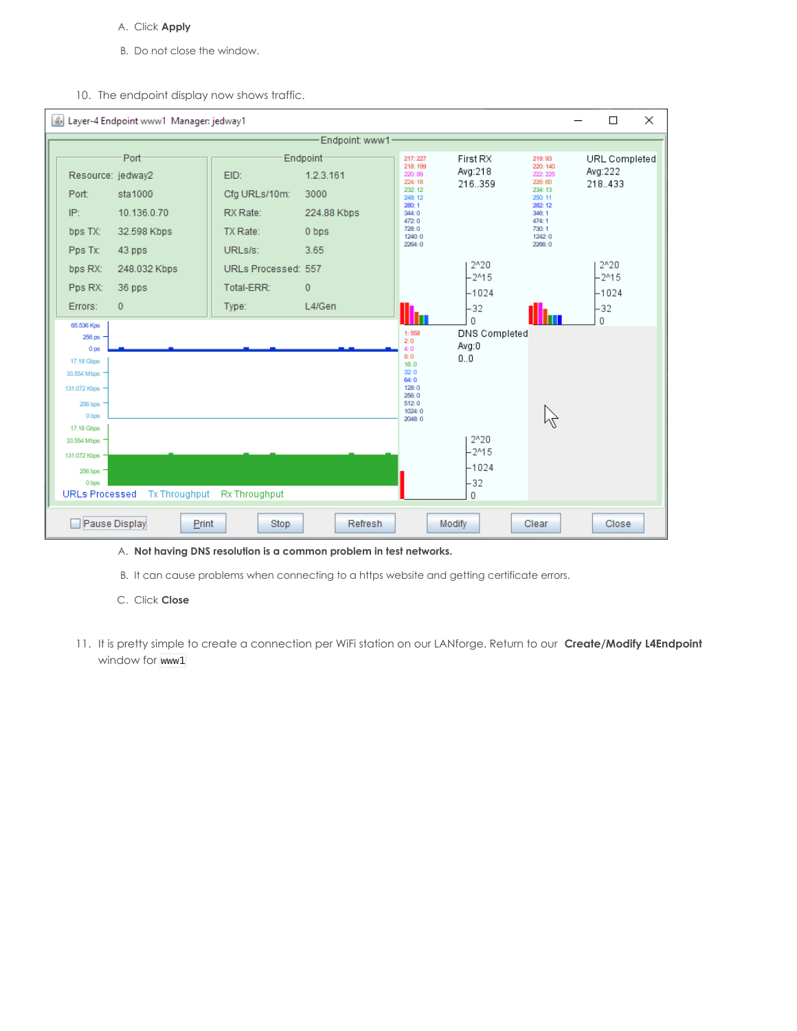- A. Click **Apply**
- B. Do not close the window.
- 10. The endpoint display now shows traffic.



## A. **Not having DNS resolution is a common problem in test networks.**

- B. It can cause problems when connecting to a https website and getting certificate errors.
- C. Click **Close**
- 11. It is pretty simple to create a connection per WiFi station on our LANforge. Return to our **Create/Modify L4Endpoint** window for www1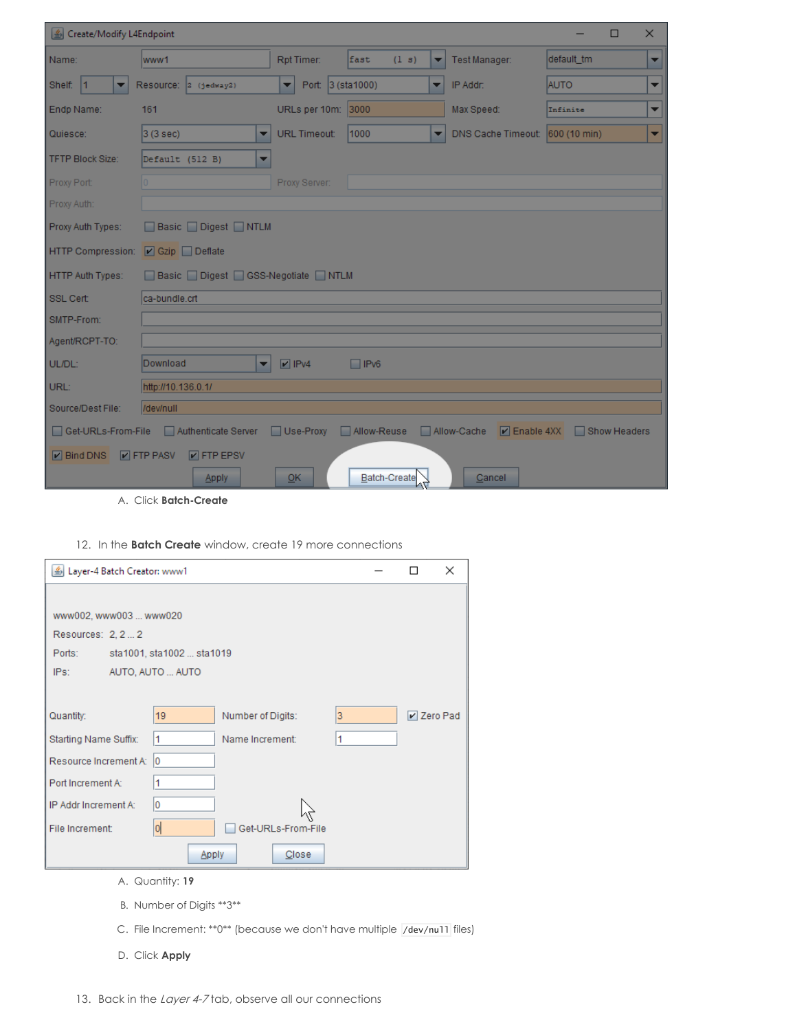| Create/Modify L4Endpoint           |                                                  |                                     |                     |   |                                             | □            | $\times$                 |
|------------------------------------|--------------------------------------------------|-------------------------------------|---------------------|---|---------------------------------------------|--------------|--------------------------|
| Name:                              | www1                                             | Rpt Timer:                          | fast<br>(1 s)       | ▼ | Test Manager:                               | default tm   | ▼                        |
| Shelf: 1<br>▼                      | Resource:  2 (jedway2)                           | Port: 3 (sta1000)<br>$\blacksquare$ |                     | ▼ | IP Addr:                                    | <b>AUTO</b>  | ▼                        |
| Endp Name:                         | 161                                              | URLs per 10m: 3000                  |                     |   | Max Speed:                                  | Infinite     | $\overline{\phantom{a}}$ |
| Quiesce:                           | $ 3(3 \text{ sec}) $<br>▼                        | <b>URL Timeout:</b>                 | 1000                | ▼ | DNS Cache Timeout: 600 (10 min)             |              | ▼                        |
| <b>TFTP Block Size:</b>            | Default (512 B)                                  |                                     |                     |   |                                             |              |                          |
| Proxy Port:                        |                                                  | Proxy Server:                       |                     |   |                                             |              |                          |
| Proxy Auth:                        |                                                  |                                     |                     |   |                                             |              |                          |
| Proxy Auth Types:                  | Basic Digest NTLM                                |                                     |                     |   |                                             |              |                          |
| HTTP Compression:   Czip   Deflate |                                                  |                                     |                     |   |                                             |              |                          |
| <b>HTTP Auth Types:</b>            | Basic Digest GSS-Negotiate NTLM                  |                                     |                     |   |                                             |              |                          |
| SSL Cert:                          | ca-bundle.crt                                    |                                     |                     |   |                                             |              |                          |
| SMTP-From:                         |                                                  |                                     |                     |   |                                             |              |                          |
| Agent/RCPT-TO:                     |                                                  |                                     |                     |   |                                             |              |                          |
| UL/DL:                             | Download<br>$\overline{\phantom{a}}$             | $\triangleright$ IPv4               | $\Box$ IPv6         |   |                                             |              |                          |
| URL:                               | http://10.136.0.1/                               |                                     |                     |   |                                             |              |                          |
| Source/Dest File:                  | /dev/null                                        |                                     |                     |   |                                             |              |                          |
|                                    | Get-URLs-From-File Authenticate Server Use-Proxy |                                     |                     |   | Allow-Reuse Allow-Cache <b>D</b> Enable 4XX | Show Headers |                          |
|                                    | D Bind DNS D FTP PASV D FTP EPSV                 |                                     |                     |   |                                             |              |                          |
|                                    | <b>Apply</b>                                     | QK                                  | <b>Batch-Create</b> |   | Cancel                                      |              |                          |

A. Click **Batch-Create**

12. In the **Batch Create** window, create 19 more connections

| Layer-4 Batch Creator: www1 |                           |                    |   | $\times$     |
|-----------------------------|---------------------------|--------------------|---|--------------|
|                             |                           |                    |   |              |
| www002, www003  www020      |                           |                    |   |              |
| Resources: 2, 2  2          |                           |                    |   |              |
| Ports:                      | sta1001, sta1002  sta1019 |                    |   |              |
| IPS:                        | AUTO, AUTO  AUTO          |                    |   |              |
|                             |                           |                    |   |              |
| Quantity:                   | 19 <sup>°</sup>           | Number of Digits:  | 3 | $V$ Zero Pad |
| Starting Name Suffix:       | 1                         | Name Increment:    | 1 |              |
| Resource Increment A:       | 10                        |                    |   |              |
| Port Increment A:           | 1                         |                    |   |              |
| IP Addr Increment A:        | 0                         |                    |   |              |
| File Increment:             | 이                         | Get-URLs-From-File |   |              |
|                             | <b>Apply</b>              | Close              |   |              |
|                             | A. Quantity: 19           |                    |   |              |

- B. Number of Digits \*\*3\*\*
- C. File Increment: \*\*0\*\* (because we don't have multiple /dev/nu11 files)
- D. Click **Apply**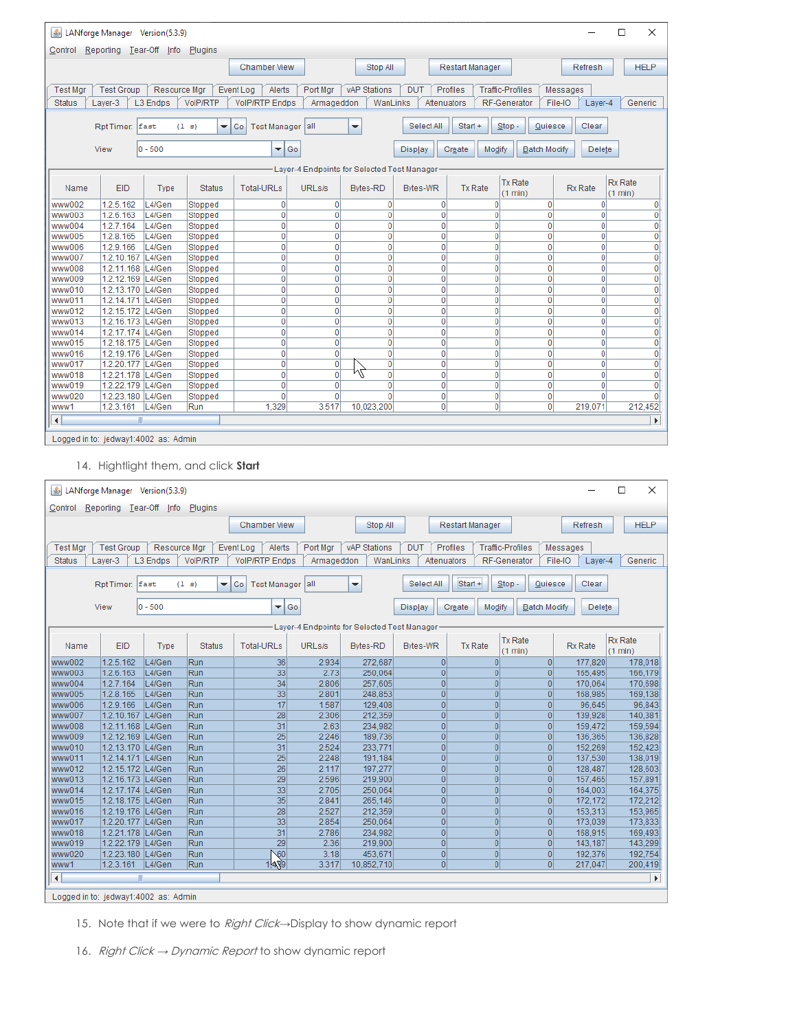| ×<br>$\vert \mathcal{L}_2 \vert$<br>LANforge Manager Version(5.3.9)<br>□                             |                                                                                                                                                                                 |        |               |                           |                    |                                             |                 |                     |                           |                |                       |  |
|------------------------------------------------------------------------------------------------------|---------------------------------------------------------------------------------------------------------------------------------------------------------------------------------|--------|---------------|---------------------------|--------------------|---------------------------------------------|-----------------|---------------------|---------------------------|----------------|-----------------------|--|
| Control                                                                                              | Reporting Tear-Off<br>Plugins<br>Info                                                                                                                                           |        |               |                           |                    |                                             |                 |                     |                           |                |                       |  |
|                                                                                                      | Chamber View<br><b>Restart Manager</b><br><b>HELP</b><br>Stop All<br>Refresh                                                                                                    |        |               |                           |                    |                                             |                 |                     |                           |                |                       |  |
|                                                                                                      | <b>Test Group</b><br>Resource Mgr<br>Alerts<br>Port Mgr<br><b>vAP Stations</b><br><b>DUT</b><br>Profiles<br><b>Traffic-Profiles</b><br><b>Test Mgr</b><br>Event Log<br>Messages |        |               |                           |                    |                                             |                 |                     |                           |                |                       |  |
|                                                                                                      | VoIP/RTP<br><b>VolP/RTP Endps</b><br><b>Status</b><br>Layer-3<br>L3 Endps<br>WanLinks<br>Attenuators<br>RF-Generator<br>File-IO<br>Generic<br>Armageddon<br>Layer-4             |        |               |                           |                    |                                             |                 |                     |                           |                |                       |  |
|                                                                                                      |                                                                                                                                                                                 |        |               |                           |                    |                                             |                 |                     |                           |                |                       |  |
|                                                                                                      | Rpt Timer:                                                                                                                                                                      | fast   | (1 s)<br>▼    | <b>Test Manager</b><br>Go | lall               | ▼                                           | Select All      | Start +<br>$Stop -$ | Quiesce                   | Clear          |                       |  |
| $ 0 - 500$<br>Go<br>View<br>Modify<br>Delete<br>▼<br><b>Display</b><br>Create<br><b>Batch Modify</b> |                                                                                                                                                                                 |        |               |                           |                    |                                             |                 |                     |                           |                |                       |  |
|                                                                                                      |                                                                                                                                                                                 |        |               |                           |                    | Layer-4 Endpoints for Selected Test Manager |                 |                     |                           |                |                       |  |
| Name                                                                                                 | EID                                                                                                                                                                             | Type   | <b>Status</b> | <b>Total-URLs</b>         | URL <sub>s/s</sub> | <b>Bytes-RD</b>                             | <b>Bytes-WR</b> | <b>Tx Rate</b>      | <b>Tx Rate</b><br>(1 min) | <b>Rx Rate</b> | Rx Rate<br>(1 min)    |  |
| www002                                                                                               | 1.2.5.162                                                                                                                                                                       | L4/Gen | Stopped       | $\bf{0}$                  | $\mathbf 0$        | $\overline{0}$                              | $\bf{0}$        | 0                   | $\overline{0}$            | 0              | 0                     |  |
| www003                                                                                               | 1.2.6.163                                                                                                                                                                       | L4/Gen | Stopped       | $\mathbf{0}$              | $\mathbf 0$        | $\overline{0}$                              | 0               | $\mathbf 0$         | $\mathbf{0}$              | 0              | $\mathbf 0$           |  |
| www004                                                                                               | 1.2.7.164                                                                                                                                                                       | L4/Gen | Stopped       | 0                         | $\mathbf 0$        | $\overline{0}$                              | 0               | $\mathbf 0$         | $\mathbf{0}$              | 0              | 0                     |  |
| www005                                                                                               | 1.2.8.165                                                                                                                                                                       | L4/Gen | Stopped       | 0                         | 0                  | $\overline{0}$                              | $\bf{0}$        | $\mathbf 0$         | $\mathbf{0}$              | 0              | 0                     |  |
| www006                                                                                               | 1.2.9.166                                                                                                                                                                       | L4/Gen | Stopped       | $\mathbf{0}$              | $\overline{0}$     | $\overline{0}$                              | $\overline{0}$  | $\overline{0}$      | $\mathbf{0}$              | $\mathbf{0}$   | $\mathbf 0$           |  |
| www007                                                                                               | 1.2.10.167 L4/Gen                                                                                                                                                               |        | Stopped       | $\mathbf{0}$              | $\overline{0}$     | $\overline{0}$                              | $\mathbf 0$     | $\mathbf 0$         | $\mathbf{0}$              | 0              | $\mathbf 0$           |  |
| www008                                                                                               | 1.2.11.168 L4/Gen                                                                                                                                                               |        | Stopped       | 0                         | 0                  | $\mathbf{0}$                                | 0               | $\mathbf 0$         | $\mathbf{0}$              | 0              | 0                     |  |
| www009                                                                                               | 1.2.12.169 L4/Gen                                                                                                                                                               |        | Stopped       | 0                         | $\mathbf 0$        | $\overline{0}$                              | 0               | $\mathbf 0$         | $\mathbf{0}$              | 0              | $\overline{0}$        |  |
| www010                                                                                               | 1.2.13.170 L4/Gen                                                                                                                                                               |        | Stopped       | $\mathbf 0$               | 0                  | $\overline{0}$                              | $\bf{0}$        | $\overline{0}$      | $\mathbf{0}$              | 0              | $\overline{0}$        |  |
| www011                                                                                               | 1.2.14.171 L4/Gen                                                                                                                                                               |        | Stopped       | $\mathbf{0}$              | $\overline{0}$     | $\overline{0}$                              | $\overline{0}$  | 0                   | $\mathbf{0}$              | $\mathbf 0$    | $\mathbf 0$           |  |
| www012                                                                                               | 1.2.15.172 L4/Gen                                                                                                                                                               |        | Stopped       | 0                         | $\mathbf 0$        | $\overline{0}$                              | $\mathbf 0$     | $\mathbf 0$         | $\mathbf 0$               | $\mathbf{0}$   | $\mathbf 0$           |  |
| www013                                                                                               | 1.2.16.173 L4/Gen                                                                                                                                                               |        | Stopped       | 0                         | 0                  | $\overline{0}$                              | 0               | 0                   | $\overline{0}$            | 0              | 0                     |  |
| www014                                                                                               | 1.2.17.174 L4/Gen                                                                                                                                                               |        | Stopped       | $\mathbf 0$               | 0                  | $\overline{0}$                              | $\mathbf 0$     | $\mathbf 0$         | $\mathbf{0}$              | $\mathbf 0$    | 0                     |  |
| www015                                                                                               | 1.2.18.175 L4/Gen                                                                                                                                                               |        | Stopped       | 0                         | $\overline{0}$     | $\overline{0}$                              | 0               | $\mathbf 0$         | $\mathbf{0}$              | 0              | $\mathbf 0$           |  |
| www016                                                                                               | 1.2.19.176 L4/Gen                                                                                                                                                               |        | Stopped       | $\mathbf{0}$              | $\mathbf{0}$       | $\overline{0}$                              | 0               | 0                   | $\mathbf{0}$              | 0              | $\overline{0}$        |  |
| www017                                                                                               | 1.2.20.177 L4/Gen                                                                                                                                                               |        | Stopped       | $\mathbf{0}$              | 0                  | $\overline{0}$                              | 0               | 0                   | $\mathbf{0}$              | 0              | $\mathbf 0$           |  |
| www018                                                                                               | 1.2.21.178 L4/Gen                                                                                                                                                               |        | Stopped       | $\mathbf{0}$              | 0                  | μĻ<br>$\overline{0}$                        | 0               | $\mathbf 0$         | $\mathbf{0}$              | 0              | $\mathbf 0$           |  |
| www019                                                                                               | 1.2.22.179 L4/Gen                                                                                                                                                               |        | Stopped       | $\mathbf 0$               | 0                  | $\overline{0}$                              | 0               | 0                   | $\mathbf{0}$              | 0              | $\mathbf 0$           |  |
| www020                                                                                               | 1.2.23.180 L4/Gen                                                                                                                                                               |        | Stopped       | 0                         | $\overline{0}$     | $\Omega$                                    | 0               | $\overline{0}$      | $\mathbf{0}$              | $\Omega$       | $\Omega$              |  |
| www1                                                                                                 | 1.2.3.161                                                                                                                                                                       | L4/Gen | Run           | 1,329                     | 3.517              | 10.023.200                                  | $\mathbf 0$     | $\overline{0}$      | $\mathbf 0$               | 219,071        | 212.452               |  |
| $\blacktriangleleft$                                                                                 | $\mathbb{I}$                                                                                                                                                                    |        |               |                           |                    |                                             |                 |                     |                           |                | $\blacktriangleright$ |  |
|                                                                                                      | Logged in to: jedway1:4002 as: Admin                                                                                                                                            |        |               |                           |                    |                                             |                 |                     |                           |                |                       |  |
|                                                                                                      |                                                                                                                                                                                 |        |               |                           |                    |                                             |                 |                     |                           |                |                       |  |

14. Hightlight them, and click **Start**

| 画                                                                                                                                                                                                                                        | $\Box$<br>$\times$<br>LANforge Manager Version(5.3.9)                                                                                                                           |        |                                   |                           |       |                      |                |                     |                |         |  |             |
|------------------------------------------------------------------------------------------------------------------------------------------------------------------------------------------------------------------------------------------|---------------------------------------------------------------------------------------------------------------------------------------------------------------------------------|--------|-----------------------------------|---------------------------|-------|----------------------|----------------|---------------------|----------------|---------|--|-------------|
| Control                                                                                                                                                                                                                                  | Reporting Tear-Off                                                                                                                                                              | Info   | Plugins                           |                           |       |                      |                |                     |                |         |  |             |
|                                                                                                                                                                                                                                          |                                                                                                                                                                                 |        |                                   | Chamber View              |       | Stop All             |                | Restart Manager     |                | Refresh |  | <b>HELP</b> |
|                                                                                                                                                                                                                                          | <b>DUT</b><br>Profiles<br><b>Test Group</b><br>Resource Mgr<br>Event Log<br>Alerts<br>Port Mgr<br><b>vAP Stations</b><br><b>Traffic-Profiles</b><br>Messages<br><b>Test Mgr</b> |        |                                   |                           |       |                      |                |                     |                |         |  |             |
|                                                                                                                                                                                                                                          | VoIP/RTP<br><b>VolP/RTP Endps</b><br>RF-Generator<br>Generic<br><b>Status</b><br>Layer-3<br>L <sub>3</sub> Endps<br>WanLinks<br>Attenuators<br>File-IO<br>Armageddon<br>Layer-4 |        |                                   |                           |       |                      |                |                     |                |         |  |             |
|                                                                                                                                                                                                                                          |                                                                                                                                                                                 |        |                                   |                           |       |                      |                |                     |                |         |  |             |
|                                                                                                                                                                                                                                          | Rpt Timer: East                                                                                                                                                                 |        | (1 s)<br>$\overline{\phantom{a}}$ | Go<br><b>Test Manager</b> | lall  | $\blacktriangledown$ | Select All     | Start +<br>$Stop -$ | Quiesce        | Clear   |  |             |
| $0 - 500$<br>View<br>▼<br>  Go<br>Create<br>Modify<br>Delete<br><b>Display</b><br><b>Batch Modify</b>                                                                                                                                    |                                                                                                                                                                                 |        |                                   |                           |       |                      |                |                     |                |         |  |             |
|                                                                                                                                                                                                                                          |                                                                                                                                                                                 |        |                                   |                           |       |                      |                |                     |                |         |  |             |
| Layer-4 Endpoints for Selected Test Manager<br><b>Tx Rate</b><br><b>Rx Rate</b><br>EID<br><b>Tx Rate</b><br>Rx Rate<br><b>Status</b><br><b>Total-URLs</b><br>URLs/s<br><b>Bytes-RD</b><br>Name<br>Type<br>Bytes-WR<br>(1 min)<br>(1 min) |                                                                                                                                                                                 |        |                                   |                           |       |                      |                |                     |                |         |  |             |
| www002                                                                                                                                                                                                                                   | 1.2.5.162                                                                                                                                                                       | L4/Gen | Run                               | 36                        | 2.934 | 272.687              | $\Omega$       | $\overline{0}$      | $\Omega$       | 177.820 |  | 178,018     |
| www003                                                                                                                                                                                                                                   | 1.2.6.163                                                                                                                                                                       | L4/Gen | Run                               | 33                        | 2.73  | 250,064              | $\overline{0}$ | $\overline{0}$      | $\overline{0}$ | 165,495 |  | 166,179     |
| www004                                                                                                                                                                                                                                   | 1.2.7.164                                                                                                                                                                       | L4/Gen | Run                               | 34                        | 2.806 | 257,605              | $\overline{0}$ | $\overline{0}$      | $\overline{0}$ | 170,064 |  | 170,698     |
| www005                                                                                                                                                                                                                                   | 1.2.8.165                                                                                                                                                                       | L4/Gen | Run                               | 33                        | 2.801 | 248,853              | $\overline{0}$ | $\overline{0}$      | $\overline{0}$ | 168,985 |  | 169,138     |
| www006                                                                                                                                                                                                                                   | 1.2.9.166                                                                                                                                                                       | L4/Gen | Run                               | 17                        | 1.587 | 129,408              | $\overline{0}$ | $\overline{0}$      | $\overline{0}$ | 96,645  |  | 96,843      |
| www007                                                                                                                                                                                                                                   | 1.2.10.167 L4/Gen                                                                                                                                                               |        | Run                               | 28                        | 2.306 | 212,359              | $\overline{0}$ | $\overline{0}$      | $\overline{0}$ | 139,928 |  | 140,381     |
| www008                                                                                                                                                                                                                                   | 1.2.11.168 L4/Gen                                                                                                                                                               |        | Run                               | 31                        | 2.63  | 234.982              | $\overline{0}$ | $\overline{0}$      | $\overline{0}$ | 159.472 |  | 159,594     |
| www009                                                                                                                                                                                                                                   | 1.2.12.169 L4/Gen                                                                                                                                                               |        | Run                               | 25                        | 2.246 | 189,736              | $\overline{0}$ | $\mathbf{0}$        | $\overline{0}$ | 136,365 |  | 136,828     |
| www010                                                                                                                                                                                                                                   | 1.2.13.170 L4/Gen                                                                                                                                                               |        | Run                               | 31                        | 2.524 | 233,771              | $\overline{0}$ | $\overline{0}$      | $\overline{0}$ | 152,269 |  | 152,423     |
| www011                                                                                                                                                                                                                                   | 1.2.14.171 L4/Gen                                                                                                                                                               |        | Run                               | 25                        | 2.248 | 191,184              | $\overline{0}$ | $\overline{0}$      | $\overline{0}$ | 137,530 |  | 138,019     |
| www012                                                                                                                                                                                                                                   | 1.2.15.172 L4/Gen                                                                                                                                                               |        | Run                               | 26                        | 2.117 | 197,277              | $\overline{0}$ | $\overline{0}$      | $\overline{0}$ | 128,487 |  | 128,603     |
| www013                                                                                                                                                                                                                                   | 1.2.16.173 L4/Gen                                                                                                                                                               |        | Run                               | 29                        | 2.596 | 219,900              | $\overline{0}$ | $\overline{0}$      | $\overline{0}$ | 157,465 |  | 157,891     |
| www014                                                                                                                                                                                                                                   | 1.2.17.174 L4/Gen                                                                                                                                                               |        | Run                               | 33                        | 2.705 | 250,064              | $\overline{0}$ | $\overline{0}$      | $\overline{0}$ | 164,003 |  | 164,375     |
| www015                                                                                                                                                                                                                                   | 1.2.18.175 L4/Gen                                                                                                                                                               |        | Run                               | 35                        | 2.841 | 265,146              | $\overline{0}$ | $\overline{0}$      | $\overline{0}$ | 172.172 |  | 172,212     |
| www016                                                                                                                                                                                                                                   | 1.2.19.176 L4/Gen                                                                                                                                                               |        | Run                               | 28                        | 2.527 | 212,359              | $\overline{0}$ | $\overline{0}$      | $\overline{0}$ | 153,313 |  | 153,965     |
| www017                                                                                                                                                                                                                                   | 1.2.20.177 L4/Gen                                                                                                                                                               |        | Run                               | 33                        | 2.854 | 250.064              | $\overline{0}$ | $\mathbf 0$         | $\overline{0}$ | 173,039 |  | 173,833     |
| www018                                                                                                                                                                                                                                   | 1.2.21.178 L4/Gen                                                                                                                                                               |        | Run                               | 31                        | 2.786 | 234,982              | $\overline{0}$ | $\overline{0}$      | $\overline{0}$ | 168,915 |  | 169,493     |
| www019                                                                                                                                                                                                                                   | 1.2.22.179 L4/Gen                                                                                                                                                               |        | Run                               | 29                        | 2.36  | 219,900              | $\overline{0}$ | $\overline{0}$      | $\overline{0}$ | 143.187 |  | 143,299     |
| www020                                                                                                                                                                                                                                   | $\overline{0}$<br>1.2.23.180 L4/Gen<br>Run<br>$\sqrt{60}$<br>3.18<br>453,671<br>$\overline{0}$<br>$\overline{0}$<br>192,376<br>192,754                                          |        |                                   |                           |       |                      |                |                     |                |         |  |             |
| www1                                                                                                                                                                                                                                     | 1.439<br> 0 <br>$\overline{0}$<br> 0 <br>1.2.3.161 L4/Gen<br>3.317<br>Run<br>10,852,710<br>217,047<br>200,419                                                                   |        |                                   |                           |       |                      |                |                     |                |         |  |             |
| $\blacktriangleleft$                                                                                                                                                                                                                     | $\blacktriangleright$<br>Ш                                                                                                                                                      |        |                                   |                           |       |                      |                |                     |                |         |  |             |
|                                                                                                                                                                                                                                          | Logged in to: jedway1:4002 as: Admin                                                                                                                                            |        |                                   |                           |       |                      |                |                     |                |         |  |             |

15. Note that if we were to Right Click→Display to show dynamic report

16. Right Click → Dynamic Report to show dynamic report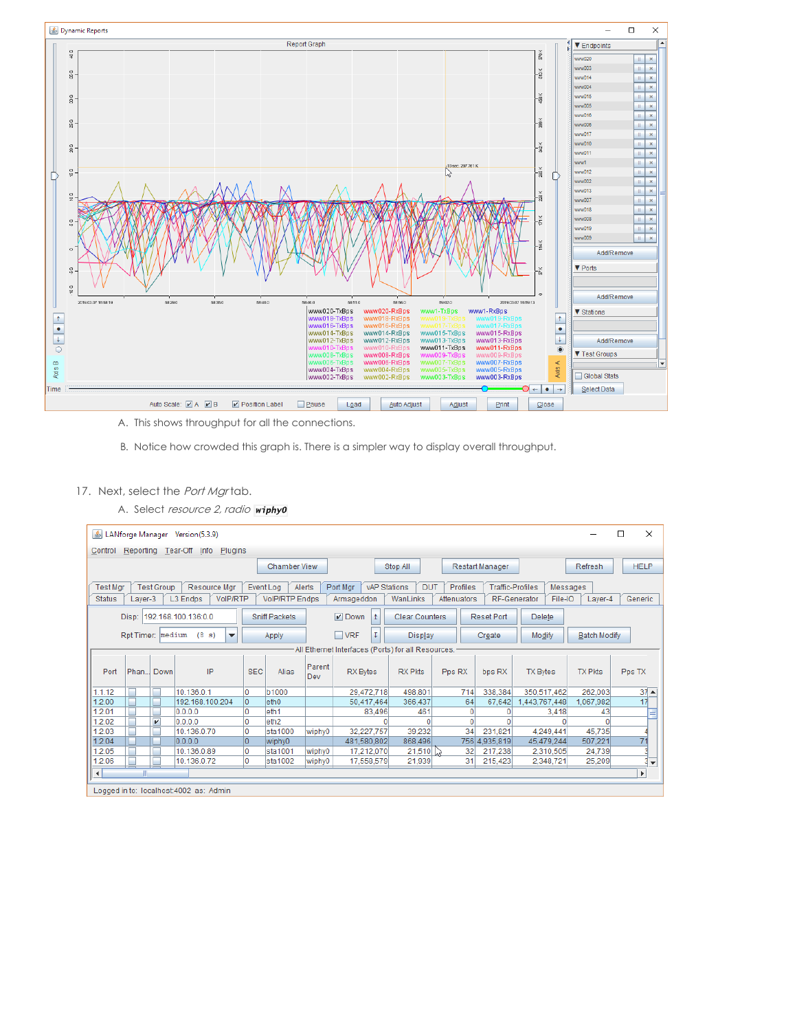

A. This shows throughput for all the connections.

B. Notice how crowded this graph is. There is a simpler way to display overall throughput.

## 17. Next, select the Port Mgrtab.

A. Select resource 2, radio wiphy0

| □<br><u><sup>46</sup> LANforge Manager Version(5.3.9)</u>                                                                                                                                                                                                                                                                                                      |      |                         |                 |            |                     |                  |                 |                | $\times$       |                 |                     |                |                          |
|----------------------------------------------------------------------------------------------------------------------------------------------------------------------------------------------------------------------------------------------------------------------------------------------------------------------------------------------------------------|------|-------------------------|-----------------|------------|---------------------|------------------|-----------------|----------------|----------------|-----------------|---------------------|----------------|--------------------------|
| Reporting Tear-Off Info<br>Plugins<br>Control                                                                                                                                                                                                                                                                                                                  |      |                         |                 |            |                     |                  |                 |                |                |                 |                     |                |                          |
|                                                                                                                                                                                                                                                                                                                                                                |      |                         |                 |            | <b>Chamber View</b> |                  |                 | Stop All       |                | Restart Manager |                     | Refresh        | <b>HELP</b>              |
| Resource Mgr<br>Port Mar<br><b>vAP Stations</b><br><b>DUT</b><br>Profiles<br><b>Traffic-Profiles</b><br><b>Test Mar</b><br><b>Test Group</b><br>Event Log<br>Alerts<br>Messages<br>VoIP/RTP<br><b>VolP/RTP Endps</b><br><b>Status</b><br>L <sub>3</sub> Endps<br>Armageddon<br>WanLinks<br>Attenuators<br><b>RF-Generator</b><br>File-IO<br>Generic<br>Laver-3 |      |                         |                 |            |                     |                  |                 |                |                |                 |                     |                |                          |
|                                                                                                                                                                                                                                                                                                                                                                |      |                         |                 |            |                     |                  |                 |                |                |                 |                     | Layer-4        |                          |
| $\nu$ Down<br><b>Clear Counters</b><br>Disp: 192.168.100.136:0.0<br>$\uparrow$<br><b>Reset Port</b><br><b>Delete</b><br><b>Sniff Packets</b>                                                                                                                                                                                                                   |      |                         |                 |            |                     |                  |                 |                |                |                 |                     |                |                          |
| Rpt Timer: medium<br>(8 s)<br>$\overline{\phantom{a}}$<br>Apply                                                                                                                                                                                                                                                                                                |      |                         |                 |            |                     | T.<br>$\Box$ VRF | <b>Display</b>  |                | Create         | Modify          | <b>Batch Modify</b> |                |                          |
| All Ethernet Interfaces (Ports) for all Resources.                                                                                                                                                                                                                                                                                                             |      |                         |                 |            |                     |                  |                 |                |                |                 |                     |                |                          |
| Port                                                                                                                                                                                                                                                                                                                                                           | Phan | Down                    | IP              | <b>SEC</b> | Alias               | Parent<br>Dev    | <b>RX Bytes</b> | <b>RX Pkts</b> | Pps RX         | bps RX          | <b>TX Bytes</b>     | <b>TX Pkts</b> | Pps TX                   |
| 1.1.12                                                                                                                                                                                                                                                                                                                                                         | г    | г                       | 10.136.0.1      | o          | <b>b1000</b>        |                  | 29.472.718      | 498.801        | 714            | 338,384         | 350,517,462         | 262,003        | $37 -$                   |
| 1.2.00                                                                                                                                                                                                                                                                                                                                                         | r.   | г                       | 192.168.100.204 | l0.        | eth <sub>0</sub>    |                  | 50.417.464      | 366,437        | 64             | 67,642          | .443.767.448        | 1,067,982      | 17                       |
| 1.2.01                                                                                                                                                                                                                                                                                                                                                         |      |                         | 0.0.0.0         |            | eth <sub>1</sub>    |                  | 83.496          | 461            | $\overline{0}$ |                 | 3,418               | 43             |                          |
| 1.2.02                                                                                                                                                                                                                                                                                                                                                         |      | $\overline{\mathbf{v}}$ | 0.0.0.0         | 0          | eth <sub>2</sub>    |                  |                 | $\Omega$       | $\Omega$       | 0               |                     |                |                          |
| 1.2.03                                                                                                                                                                                                                                                                                                                                                         |      | г                       | 10.136.0.70     | Ю          | sta1000             | wiphy0           | 32,227,757      | 39,232         | 34             | 231.821         | 4,249,441           | 45,735         |                          |
| 1.2.04                                                                                                                                                                                                                                                                                                                                                         |      |                         | 0.0.0.0         | lo.        | wiphy0              |                  | 481,580,802     | 868,496        |                | 756 4,935,819   | 45,479,244          | 507.221        | 71                       |
| 1.2.05                                                                                                                                                                                                                                                                                                                                                         | г    | г                       | 10.136.0.89     | 0          | sta1001             | wiphy0           | 17,212,070      | 21,510         | 32             | 217,238         | 2,310,505           | 24,739         |                          |
| 1.2.06                                                                                                                                                                                                                                                                                                                                                         | L.   |                         | 10.136.0.72     | Ю          | sta1002             | wiphy0           | 17.558.579      | 21,939         | 31             | 215,423         | 2.348.721           | 25,209         | $\overline{\phantom{a}}$ |
| $\overline{\phantom{a}}$<br>k<br>$\left  \cdot \right $                                                                                                                                                                                                                                                                                                        |      |                         |                 |            |                     |                  |                 |                |                |                 |                     |                |                          |
| Logged in to: localhost: 4002 as: Admin                                                                                                                                                                                                                                                                                                                        |      |                         |                 |            |                     |                  |                 |                |                |                 |                     |                |                          |